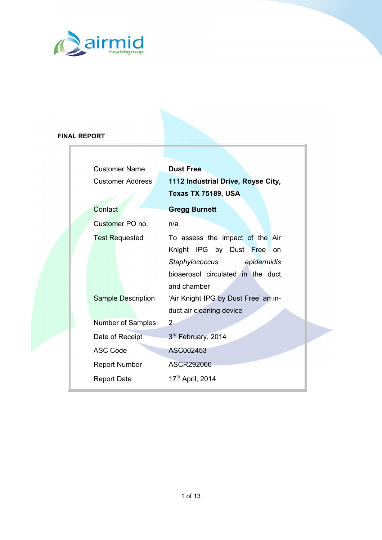

### **FINAL REPORT**

| <b>Customer Name</b>    | <b>Dust Free</b>                     |  |  |
|-------------------------|--------------------------------------|--|--|
| <b>Customer Address</b> | 1112 Industrial Drive, Royse City,   |  |  |
|                         | <b>Texas TX 75189, USA</b>           |  |  |
| Contact                 | <b>Gregg Burnett</b>                 |  |  |
| Customer PO no.         | n/a                                  |  |  |
| <b>Test Requested</b>   | To assess the impact of the Air      |  |  |
|                         | Knight IPG by Dust Free on           |  |  |
|                         | Staphylococcus epidermidis           |  |  |
|                         | bioaerosol circulated in the duct    |  |  |
|                         | and chamber                          |  |  |
| Sample Description      | 'Air Knight IPG by Dust Free' an in- |  |  |
|                         | duct air cleaning device             |  |  |
| Number of Samples       | 2                                    |  |  |
| Date of Receipt         | 3rd February, 2014                   |  |  |
| <b>ASC Code</b>         | ASC002453                            |  |  |
| <b>Report Number</b>    | ASCR292066                           |  |  |
| <b>Report Date</b>      | 17 <sup>th</sup> April, 2014         |  |  |
|                         |                                      |  |  |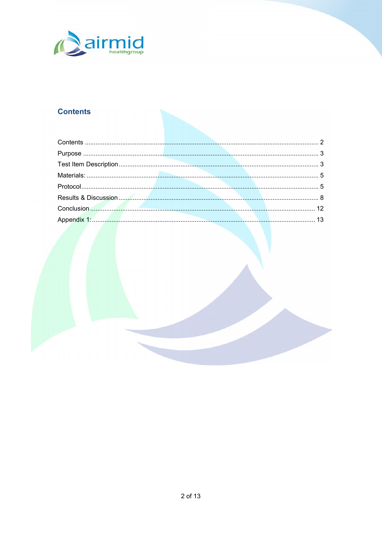## <span id="page-1-0"></span>Contents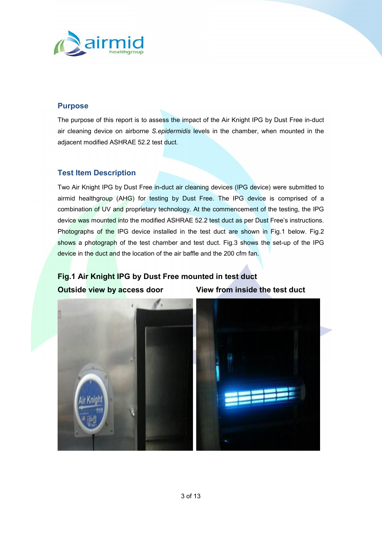

#### <span id="page-2-0"></span>**Purpose**

The purpose of this report is to assess the impact of the Air Knight IPG by Dust Free in-duct air cleaning device on airborne *S.epidermidis* levels in the chamber, when mounted in the adjacent modified ASHRAE 52.2 test duct.

### <span id="page-2-1"></span>**Test Item Description**

Two Air Knight IPG by Dust Free in-duct air cleaning devices (IPG device) were submitted to airmid healthgroup (AHG) for testing by Dust Free. The IPG device is comprised of a combination of UV and proprietary technology. At the commencement of the testing, the IPG device was mounted into the modified ASHRAE 52.2 test duct as per Dust Free's instructions. Photographs of the IPG device installed in the test duct are shown in Fig.1 below. Fig.2 shows a photograph of the test chamber and test duct. Fig.3 shows the set-up of the IPG device in the duct and the location of the air baffle and the 200 cfm fan.

# **Fig.1 Air Knight IPG by Dust Free mounted in test duct Outside view by access door View from inside the test duct**

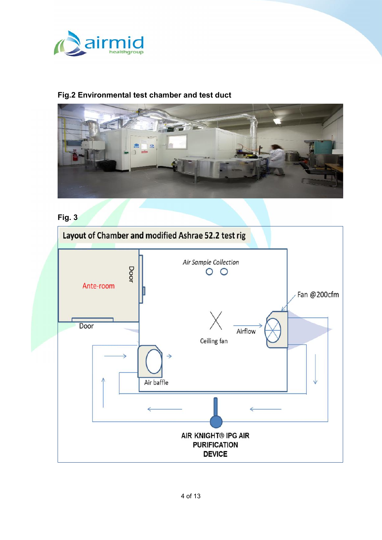

### **Fig.2 Environmental test chamber and test duct**



# **Fig. 3**

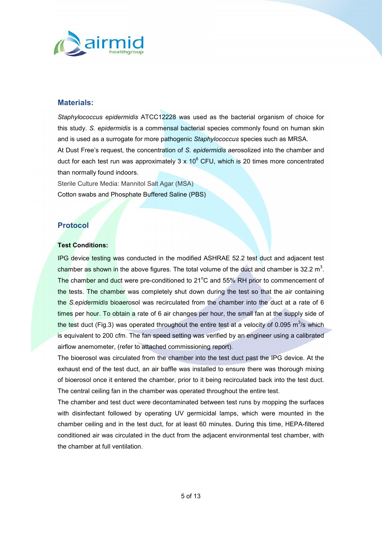

#### <span id="page-4-0"></span>**Materials:**

*Staphylococcus epidermidis* ATCC12228 was used as the bacterial organism of choice for this study. *S. epidermidis* is a commensal bacterial species commonly found on human skin and is used as a surrogate for more pathogenic *Staphylococcus* species such as MRSA. At Dust Free's request, the concentration of *S. epidermidis* aerosolized into the chamber and duct for each test run was approximately  $3 \times 10^6$  CFU, which is 20 times more concentrated than normally found indoors.

Sterile Culture Media: Mannitol Salt Agar (MSA) Cotton swabs and Phosphate Buffered Saline (PBS)

#### <span id="page-4-1"></span>**Protocol**

#### **Test Conditions:**

IPG device testing was conducted in the modified ASHRAE 52.2 test duct and adjacent test chamber as shown in the above figures. The total volume of the duct and chamber is 32.2  $m^3$ . The chamber and duct were pre-conditioned to 21°C and 55% RH prior to commencement of the tests. The chamber was completely shut down during the test so that the air containing the *S.epidermidis* bioaerosol was recirculated from the chamber into the duct at a rate of 6 times per hour. To obtain a rate of 6 air changes per hour, the small fan at the supply side of the test duct (Fig.3) was operated throughout the entire test at a velocity of 0.095 m<sup>3</sup>/s which is equivalent to 200 cfm. The fan speed setting was verified by an engineer using a calibrated airflow anemometer, (refer to attached commissioning report).

The bioerosol was circulated from the chamber into the test duct past the IPG device. At the exhaust end of the test duct, an air baffle was installed to ensure there was thorough mixing of bioerosol once it entered the chamber, prior to it being recirculated back into the test duct. The central ceiling fan in the chamber was operated throughout the entire test.

The chamber and test duct were decontaminated between test runs by mopping the surfaces with disinfectant followed by operating UV germicidal lamps, which were mounted in the chamber ceiling and in the test duct, for at least 60 minutes. During this time, HEPA-filtered conditioned air was circulated in the duct from the adjacent environmental test chamber, with the chamber at full ventilation.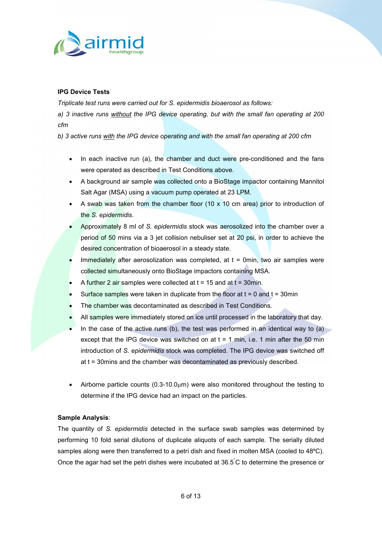

#### **IPG Device Tests**

*Triplicate test runs were carried out for S. epidermidis bioaerosol as follows:*

*a) 3 inactive runs without the IPG device operating, but with the small fan operating at 200 cfm*

*b) 3 active runs with the IPG device operating and with the small fan operating at 200 cfm*

- In each inactive run (a), the chamber and duct were pre-conditioned and the fans were operated as described in Test Conditions above.
- A background air sample was collected onto a BioStage impactor containing Mannitol Salt Agar (MSA) using a vacuum pump operated at 23 LPM.
- A swab was taken from the chamber floor (10  $\times$  10 cm area) prior to introduction of the *S. epidermidis*.
- Approximately 8 ml of *S. epidermidis* stock was aerosolized into the chamber over a period of 50 mins via a 3 jet collision nebuliser set at 20 psi, in order to achieve the desired concentration of bioaerosol in a steady state.
- Immediately after aerosolization was completed, at  $t = 0$ min, two air samples were collected simultaneously onto BioStage impactors containing MSA.
- A further 2 air samples were collected at  $t = 15$  and at  $t = 30$ min.
- Surface samples were taken in duplicate from the floor at  $t = 0$  and  $t = 30$ min
- The chamber was decontaminated as described in Test Conditions.
- All samples were immediately stored on ice until processed in the laboratory that day.
- In the case of the active runs (b), the test was performed in an identical way to  $(a)$ except that the IPG device was switched on at  $t = 1$  min, i.e. 1 min after the 50 min introduction of *S. epidermidis* stock was completed. The IPG device was switched off at t = 30mins and the chamber was decontaminated as previously described.
- Airborne particle counts  $(0.3\n-10.0\mu m)$  were also monitored throughout the testing to determine if the IPG device had an impact on the particles.

#### **Sample Analysis**:

The quantity of *S. epidermidis* detected in the surface swab samples was determined by performing 10 fold serial dilutions of duplicate aliquots of each sample. The serially diluted samples along were then transferred to a petri dish and fixed in molten MSA (cooled to 48ºC). Once the agar had set the petri dishes were incubated at  $36.5^{\circ}$ C to determine the presence or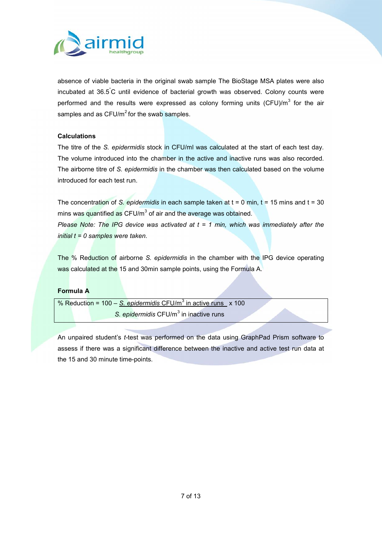

absence of viable bacteria in the original swab sample The BioStage MSA plates were also incubated at 36.5°C until evidence of bacterial growth was observed. Colony counts were performed and the results were expressed as colony forming units (CFU)/m<sup>3</sup> for the air samples and as  $CFU/m^2$  for the swab samples.

#### **Calculations**

The titre of the *S. epidermidis* stock in CFU/ml was calculated at the start of each test day. The volume introduced into the chamber in the active and inactive runs was also recorded. The airborne titre of *S. epidermidis* in the chamber was then calculated based on the volume introduced for each test run.

The concentration of *S. epidermidis* in each sample taken at t = 0 min, t = 15 mins and t = 30 mins was quantified as  $CFU/m<sup>3</sup>$  of air and the average was obtained.

*Please Note: The IPG device was activated at t= 1 min, which was immediately after the initial t = 0 samples were taken*.

The % Reduction of airborne *S. epidermidis* in the chamber with the IPG device operating was calculated at the 15 and 30min sample points, using the Formula A.

#### **Formula A**

% Reduction = 100 - S. epidermidis CFU/m<sup>3</sup> in active runs x 100 S. *epidermidis* CFU/m<sup>3</sup> in inactive runs

An unpaired student's *t-*test was performed on the data using GraphPad Prism software to assess if there was a significant difference between the inactive and active test run data at the 15 and 30 minute time-points.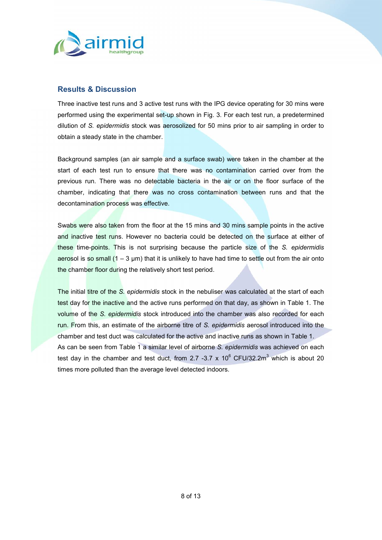

#### <span id="page-7-0"></span>**Results & Discussion**

Three inactive test runs and 3 active test runs with the IPG device operating for 30 mins were performed using the experimental set-up shown in Fig. 3. For each test run, a predetermined dilution of *S. epidermidis* stock was aerosolized for 50 mins prior to air sampling in order to obtain a steady state in the chamber.

Background samples (an air sample and a surface swab) were taken in the chamber at the start of each test run to ensure that there was no contamination carried over from the previous run. There was no detectable bacteria in the air or on the floor surface of the chamber, indicating that there was no cross contamination between runs and that the decontamination process was effective.

Swabs were also taken from the floor at the 15 mins and 30 mins sample points in the active and inactive test runs. However no bacteria could be detected on the surface at either of these time-points. This is not surprising because the particle size of the *S. epidermidis* aerosol is so small  $(1 - 3 \mu m)$  that it is unlikely to have had time to settle out from the air onto the chamber floor during the relatively short test period.

The initial titre of the *S. epidermidis* stock in the nebuliser was calculated at the start of each test day for the inactive and the active runs performed on that day, as shown in Table 1. The volume of the *S. epidermidis* stock introduced into the chamber was also recorded for each run. From this, an estimate of the airborne titre of *S. epidermidis* aerosol introduced into the chamber and test duct was calculated for the active and inactive runs as shown in Table 1. As can be seen from Table 1 a similar level of airborne *S. epidermidis* was achieved on each test day in the chamber and test duct, from 2.7 -3.7 x 10 $^6$  CFU/32.2m<sup>3</sup> which is about 20 times more polluted than the average level detected indoors.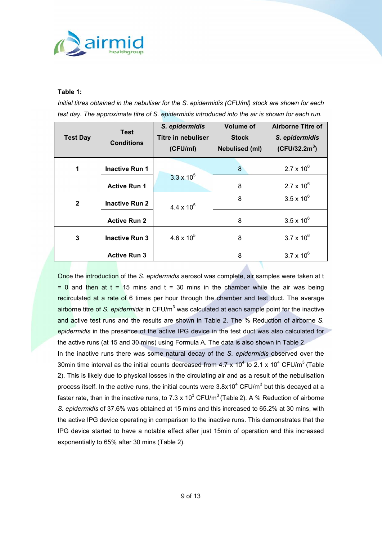

#### **Table 1:**

*Initial titres obtained in the nebuliser for the S. epidermidis (CFU/ml) stock are shown for each test day. The approximate titre of S. epidermidis introduced into the air is shown for each run.*

| <b>Test Day</b> | <b>Test</b><br><b>Conditions</b> | S. epidermidis<br><b>Titre in nebuliser</b><br>(CFU/ml) | <b>Volume of</b><br><b>Stock</b><br>Nebulised (ml) | <b>Airborne Titre of</b><br>S. epidermidis<br>$(CFU/32.2m^3)$ |
|-----------------|----------------------------------|---------------------------------------------------------|----------------------------------------------------|---------------------------------------------------------------|
| 1               | <b>Inactive Run 1</b>            |                                                         | 8                                                  | $2.7 \times 10^{6}$                                           |
|                 | <b>Active Run 1</b>              | $3.3 \times 10^5$                                       | 8                                                  | $2.7 \times 10^{6}$                                           |
| $\overline{2}$  | <b>Inactive Run 2</b>            | $4.4 \times 10^{5}$                                     | 8                                                  | $3.5 \times 10^{6}$                                           |
|                 | <b>Active Run 2</b>              |                                                         | 8                                                  | $3.5 \times 10^{6}$                                           |
| 3               | <b>Inactive Run 3</b>            | $4.6 \times 10^{5}$                                     | 8                                                  | $3.7 \times 10^{6}$                                           |
|                 | <b>Active Run 3</b>              |                                                         | 8                                                  | $3.7 \times 10^{6}$                                           |

Once the introduction of the *S. epidermidis* aerosol was complete, air samples were taken at t  $= 0$  and then at  $t = 15$  mins and  $t = 30$  mins in the chamber while the air was being recirculated at a rate of 6 times per hour through the chamber and test duct. The average airborne titre of *S. epidermidis* in CFU/m<sup>3</sup> was calculated at each sample point for the inactive and active test runs and the results are shown in Table 2. The % Reduction of airborne *S. epidermidis* in the presence of the active IPG device in the test duct was also calculated for the active runs (at 15 and 30 mins) using Formula A. The data is also shown in Table 2.

In the inactive runs there was some natural decay of the *S. epidermidis* observed over the 30min time interval as the initial counts decreased from 4.7 x 10<sup>4</sup> to 2.1 x 10<sup>4</sup> CFU/m<sup>3</sup> (Table 2). This is likely due to physical losses in the circulating air and as a result of the nebulisation process itself. In the active runs, the initial counts were  $3.8x10^4$  CFU/m<sup>3</sup> but this decayed at a faster rate, than in the inactive runs, to 7.3 x 10<sup>3</sup> CFU/m<sup>3</sup> (Table 2). A % Reduction of airborne *S. epidermidis* of 37.6% was obtained at 15 mins and this increased to 65.2% at 30 mins, with the active IPG device operating in comparison to the inactive runs. This demonstrates that the IPG device started to have a notable effect after just 15min of operation and this increased exponentially to 65% after 30 mins (Table 2).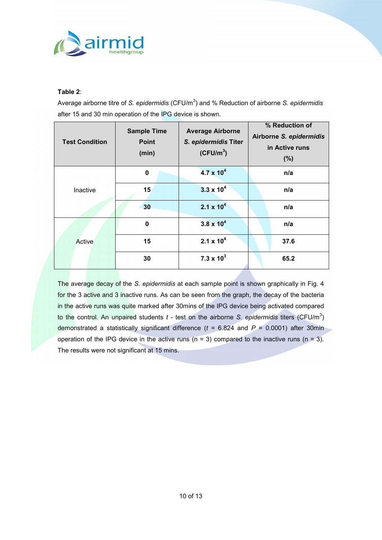

#### **Table 2**:

Average airborne titre of *S. epidermidis* (CFU/m<sup>3</sup>) and % Reduction of airborne *S. epidermidis* after 15 and 30 min operation of the IPG device is shown.

| <b>Test Condition</b> | <b>Sample Time</b><br><b>Point</b><br>(min) | <b>Average Airborne</b><br>S. epidermidis Titer<br>$(CFU/m^3)$ | % Reduction of<br>Airborne S. epidermidis<br>in Active runs<br>(% ) |
|-----------------------|---------------------------------------------|----------------------------------------------------------------|---------------------------------------------------------------------|
| Inactive              | $\mathbf 0$                                 | $4.7 \times 10^{4}$                                            | n/a                                                                 |
|                       | 15                                          | $3.3 \times 10^{4}$                                            | n/a                                                                 |
|                       | 30                                          | $2.1 \times 10^{4}$                                            | n/a                                                                 |
| Active                | $\mathbf 0$                                 | $3.8 \times 10^{4}$                                            | n/a                                                                 |
|                       | 15                                          | $2.1 \times 10^{4}$                                            | 37.6                                                                |
|                       | 30                                          | $7.3 \times 10^{3}$                                            | 65.2                                                                |

The average decay of the *S. epidermidis* at each sample point is shown graphically in Fig. 4 for the 3 active and 3 inactive runs. As can be seen from the graph, the decay of the bacteria in the active runs was quite marked after 30mins of the IPG device being activated compared to the control. An unpaired students *t* - test on the airborne *S. epidermidis* titers (CFU/m<sup>3</sup>) demonstrated a statistically significant difference (*t* = 6.824 and *P* = 0.0001) after 30min operation of the IPG device in the active runs ( $n = 3$ ) compared to the inactive runs ( $n = 3$ ). The results were not significant at 15 mins.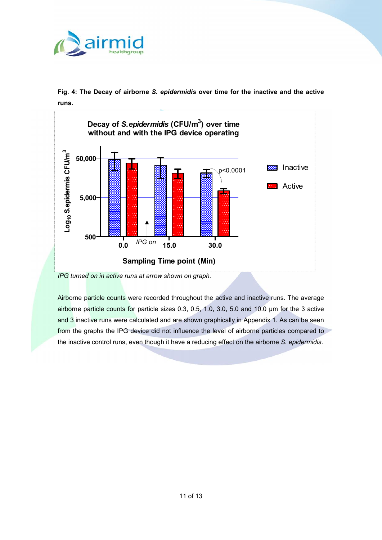

**Fig. 4: The Decay of airborne** *S. epidermidis* **over time for the inactive and the active runs.**



*IPG turned on in active runs at arrow shown on graph.*

Airborne particle counts were recorded throughout the active and inactive runs. The average airborne particle counts for particle sizes 0.3, 0.5, 1.0, 3.0, 5.0 and 10.0 µm for the 3 active and 3 inactive runs were calculated and are shown graphically in Appendix 1. As can be seen from the graphs the IPG device did not influence the level of airborne particles compared to the inactive control runs, even though it have a reducing effect on the airborne *S. epidermidis*.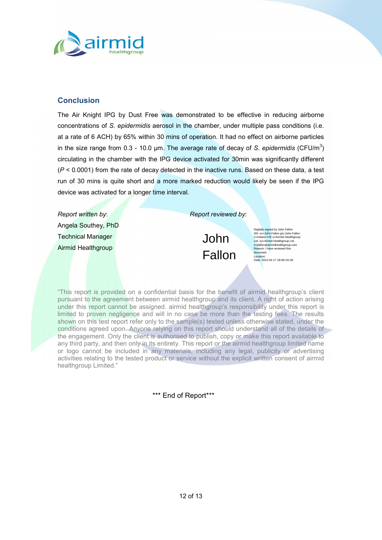#### <span id="page-11-0"></span>Conclusion

The Air Knight by PO ust Fwasse demonstrate of fleoct bive ee druciagrborne concentratioSnesporofermia obeinso sol inchtahme b, eund menultipplaess conditiionens at a raf@ACHby 65%with BrOminof operatiomad no effect on airborne particl in the size range-flO.o.phm.0.113 he average rate oSf.eopleicle.org/onfoldsing  $\mathbf C$ iFsU $\mathcal I$ )m circumatiin the chamber with the IPG device activated for 30min was s  $(P < 0.000$  ) from the rate of decay detected in the inactive runs. Based or run of n3 iO ais quite short and a more marked reduction if woonled PIG-kely be device was activated for a longer time interval.

Report written by : Report reviewed by : Angela Southey, PhD Technical Manager Airmid Healthgroup



Digitally signed by John Fallon DN: cn=John Fallon gn=John Fallon c=Ireland l=IE o=Airmid Healthgroup Ltd. ou=Airmid Healthgroup Ltd. e=jfallon@airmidhealthgroup.com Reason: I have reviewed this document Location: Date: 2014-04-17 18:06+01:00

This report is provided not hala basis for the benefit of airmid healthgroup pursuant to the agreement between airmid healthgroup and its client. under this report cannot be assigned. airmid healthgroup s responsibi limed to proven negligence and will in no case be more than the test shown on this test report refer only to the sample(s) tested unless oth conditions agreed upon. Anyone relying on this llroport the should disupoderstand and the stand and the stand the engagement. Only the client is authorised to publish, copy or make any third party, and then only in its entirety. This report or the airmid or logo cannot be includedalisn, amoylundianteariany legal, publicity or adve activities relating to the tested product or service without the explicit healthgroup Limited.

\*\*\* End of Report\*\*\*